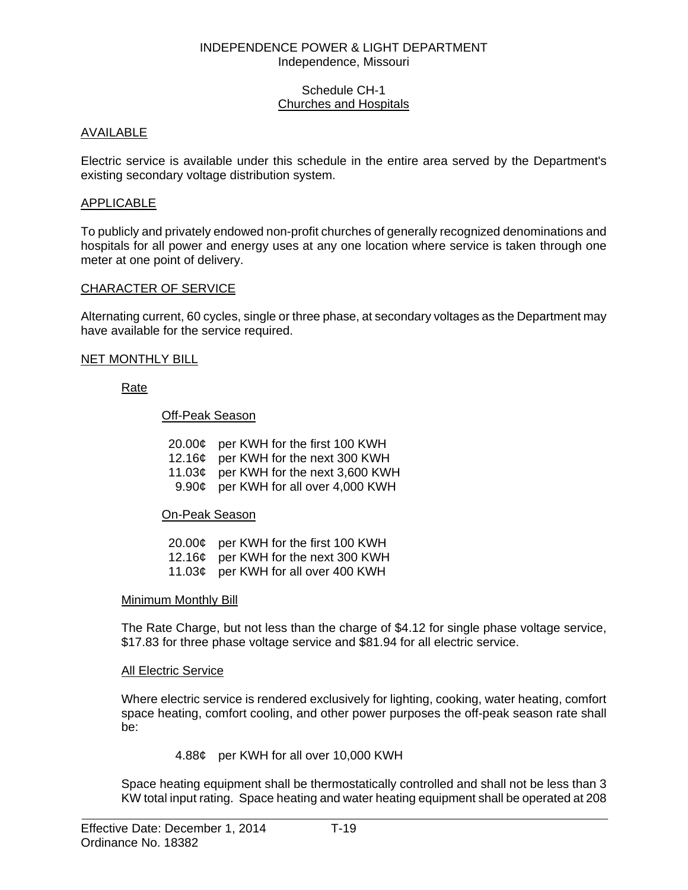### INDEPENDENCE POWER & LIGHT DEPARTMENT Independence, Missouri

### Schedule CH-1 Churches and Hospitals

## AVAILABLE

Electric service is available under this schedule in the entire area served by the Department's existing secondary voltage distribution system.

## APPLICABLE

To publicly and privately endowed non-profit churches of generally recognized denominations and hospitals for all power and energy uses at any one location where service is taken through one meter at one point of delivery.

### CHARACTER OF SERVICE

Alternating current, 60 cycles, single or three phase, at secondary voltages as the Department may have available for the service required.

### NET MONTHLY BILL

Rate

Off-Peak Season

| 20.00¢ per KWH for the first 100 KWH  |
|---------------------------------------|
| 12.16¢ per KWH for the next 300 KWH   |
| 11.03¢ per KWH for the next 3,600 KWH |
| 9.90¢ per KWH for all over 4,000 KWH  |
|                                       |

## On-Peak Season

| 20.00¢ per KWH for the first 100 KWH |
|--------------------------------------|
| 12.16¢ per KWH for the next 300 KWH  |
| 11.03¢ per KWH for all over 400 KWH  |

#### Minimum Monthly Bill

 The Rate Charge, but not less than the charge of \$4.12 for single phase voltage service, \$17.83 for three phase voltage service and \$81.94 for all electric service.

#### All Electric Service

 Where electric service is rendered exclusively for lighting, cooking, water heating, comfort space heating, comfort cooling, and other power purposes the off-peak season rate shall be:

## 4.88¢ per KWH for all over 10,000 KWH

 Space heating equipment shall be thermostatically controlled and shall not be less than 3 KW total input rating. Space heating and water heating equipment shall be operated at 208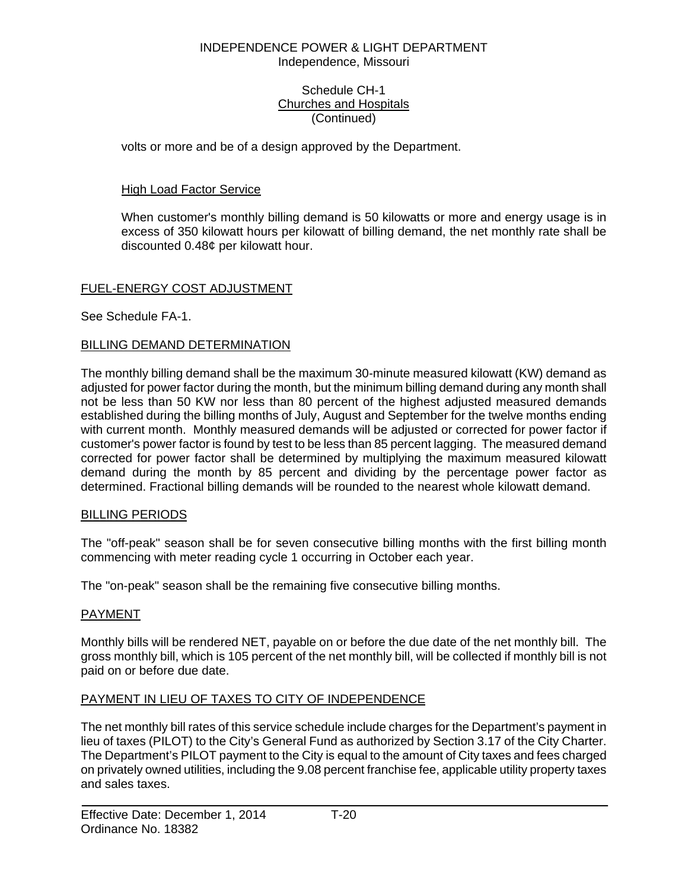### INDEPENDENCE POWER & LIGHT DEPARTMENT Independence, Missouri

### Schedule CH-1 Churches and Hospitals (Continued)

volts or more and be of a design approved by the Department.

# High Load Factor Service

 When customer's monthly billing demand is 50 kilowatts or more and energy usage is in excess of 350 kilowatt hours per kilowatt of billing demand, the net monthly rate shall be discounted 0.48¢ per kilowatt hour.

# FUEL-ENERGY COST ADJUSTMENT

See Schedule FA-1.

## BILLING DEMAND DETERMINATION

The monthly billing demand shall be the maximum 30-minute measured kilowatt (KW) demand as adjusted for power factor during the month, but the minimum billing demand during any month shall not be less than 50 KW nor less than 80 percent of the highest adjusted measured demands established during the billing months of July, August and September for the twelve months ending with current month. Monthly measured demands will be adjusted or corrected for power factor if customer's power factor is found by test to be less than 85 percent lagging. The measured demand corrected for power factor shall be determined by multiplying the maximum measured kilowatt demand during the month by 85 percent and dividing by the percentage power factor as determined. Fractional billing demands will be rounded to the nearest whole kilowatt demand.

## BILLING PERIODS

The "off-peak" season shall be for seven consecutive billing months with the first billing month commencing with meter reading cycle 1 occurring in October each year.

The "on-peak" season shall be the remaining five consecutive billing months.

## PAYMENT

Monthly bills will be rendered NET, payable on or before the due date of the net monthly bill. The gross monthly bill, which is 105 percent of the net monthly bill, will be collected if monthly bill is not paid on or before due date.

## PAYMENT IN LIEU OF TAXES TO CITY OF INDEPENDENCE

The net monthly bill rates of this service schedule include charges for the Department's payment in lieu of taxes (PILOT) to the City's General Fund as authorized by Section 3.17 of the City Charter. The Department's PILOT payment to the City is equal to the amount of City taxes and fees charged on privately owned utilities, including the 9.08 percent franchise fee, applicable utility property taxes and sales taxes.